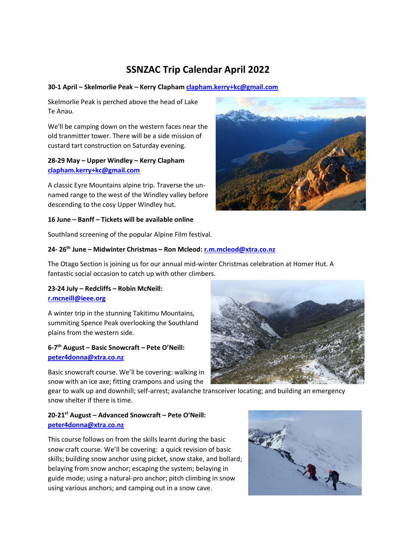# **SSNZAC Trip Calendar April 2022**

#### **30-1 April – Skelmorlie Peak – Kerry Clapham [clapham.kerry+kc@gmail.com](mailto:clapham.kerry+kc@gmail.com)**

Skelmorlie Peak is perched above the head of Lake Te Anau.

We'll be camping down on the western faces near the old tranmitter tower. There will be a side mission of custard tart construction on Saturday evening.

## **28-29 May – Upper Windley – Kerry Clapham [clapham.kerry+kc@gmail.com](mailto:clapham.kerry+kc@gmail.com)**

A classic Eyre Mountains alpine trip. Traverse the unnamed range to the west of the Windley valley before descending to the cosy Upper Windley hut.

### **16 June – Banff – Tickets will be available online**

Southland screening of the popular Alpine Film festival.

#### **24- 26th June – Midwinter Christmas – Ron Mcleod: [r.m.mcleod@xtra.co.nz](mailto:r.m.mcleod@xtra.co.nz)**

The Otago Section is joining us for our annual mid-winter Christmas celebration at Homer Hut. A fantastic social occasion to catch up with other climbers.

### **23-24 July – Redcliffs – Robin McNeill: [r.mcneill@ieee.org](mailto:r.mcneill@ieee.org)**

A winter trip in the stunning Takitimu Mountains, summiting Spence Peak overlooking the Southland plains from the western side.

### **6-7 th August – Basic Snowcraft – Pete O'Neill: [peter4donna@xtra.co.nz](mailto:peter4donna@xtra.co.nz)**

Basic snowcraft course. We'll be covering: walking in snow with an ice axe; fitting crampons and using the

gear to walk up and downhill; self-arrest; avalanche transceiver locating; and building an emergency snow shelter if there is time.

# **20-21st August – Advanced Snowcraft – Pete O'Neill: [peter4donna@xtra.co.nz](mailto:peter4donna@xtra.co.nz)**

This course follows on from the skills learnt during the basic snow craft course. We'll be covering: a quick revision of basic skills; building snow anchor using picket, snow stake, and bollard; belaying from snow anchor; escaping the system; belaying in guide mode; using a natural-pro anchor; pitch climbing in snow using various anchors; and camping out in a snow cave.